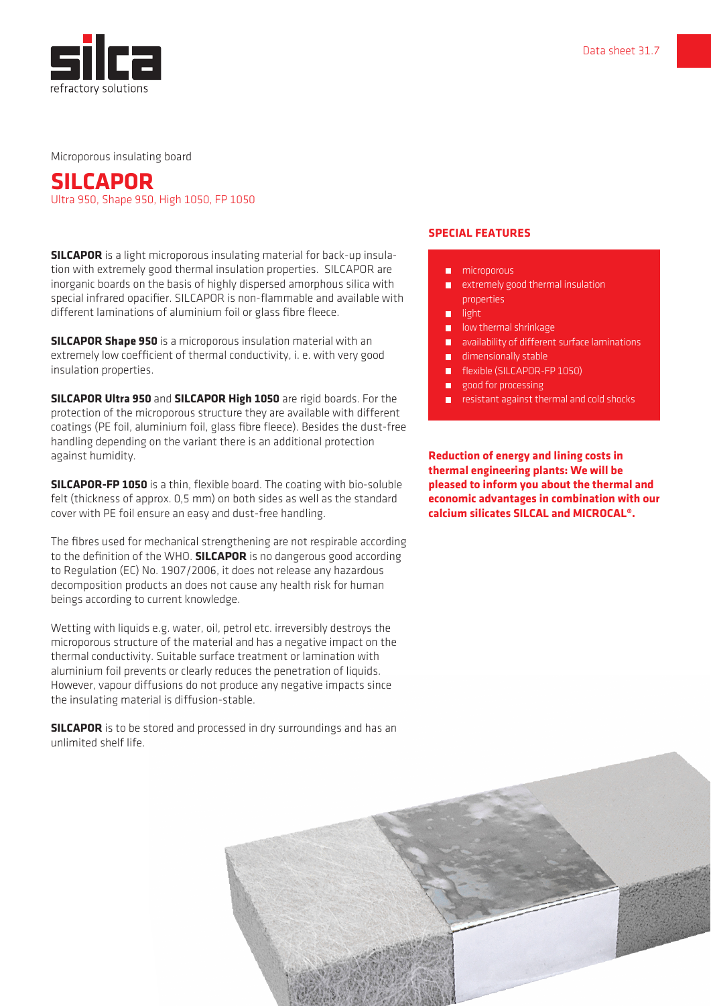

Microporous insulating board

# **SILCAPOR**

Ultra 950, Shape 950, High 1050, FP 1050

**SILCAPOR** is a light microporous insulating material for back-up insulation with extremely good thermal insulation properties. SILCAPOR are inorganic boards on the basis of highly dispersed amorphous silica with special infrared opacifier. SILCAPOR is non-flammable and available with different laminations of aluminium foil or glass fibre fleece.

**SILCAPOR Shape 950** is a microporous insulation material with an extremely low coefficient of thermal conductivity, i. e. with very good insulation properties.

**SILCAPOR Ultra 950** and **SILCAPOR High 1050** are rigid boards. For the protection of the microporous structure they are available with different coatings (PE foil, aluminium foil, glass fibre fleece). Besides the dust-free handling depending on the variant there is an additional protection against humidity.

**SILCAPOR-FP 1050** is a thin, flexible board. The coating with bio-soluble felt (thickness of approx. 0,5 mm) on both sides as well as the standard cover with PE foil ensure an easy and dust-free handling.

The fibres used for mechanical strengthening are not respirable according to the definition of the WHO. **SILCAPOR** is no dangerous good according to Regulation (EC) No. 1907/2006, it does not release any hazardous decomposition products an does not cause any health risk for human beings according to current knowledge.

Wetting with liquids e.g. water, oil, petrol etc. irreversibly destroys the microporous structure of the material and has a negative impact on the thermal conductivity. Suitable surface treatment or lamination with aluminium foil prevents or clearly reduces the penetration of liquids. However, vapour diffusions do not produce any negative impacts since the insulating material is diffusion-stable.

**SILCAPOR** is to be stored and processed in dry surroundings and has an unlimited shelf life.

### **SPECIAL FEATURES**

- **n** microporous
- extremely good thermal insulation properties
- light
- **lacks** low thermal shrinkage
- **a** availability of different surface laminations
- dimensionally stable
- **flexible (SILCAPOR-FP 1050)**
- good for processing
- resistant against thermal and cold shocks

**Reduction of energy and lining costs in thermal engineering plants: We will be pleased to inform you about the thermal and economic advantages in combination with our calcium silicates SILCAL and MICROCAL®.**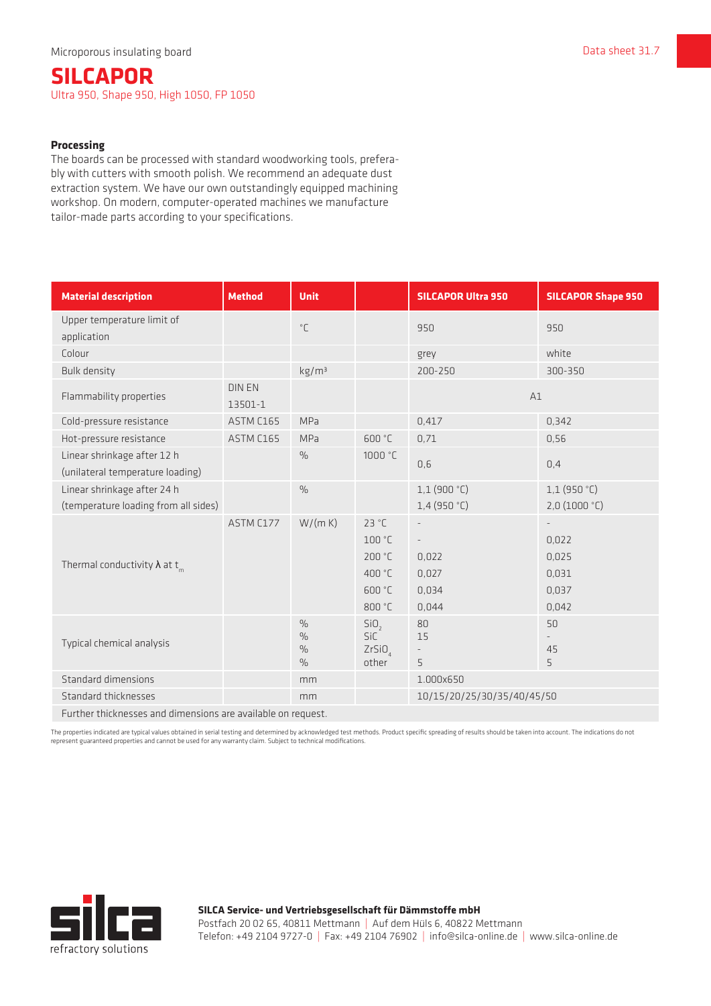## **SILCAPOR** Ultra 950, Shape 950, High 1050, FP 1050

#### **Processing**

The boards can be processed with standard woodworking tools, preferably with cutters with smooth polish. We recommend an adequate dust extraction system. We have our own outstandingly equipped machining workshop. On modern, computer-operated machines we manufacture tailor-made parts according to your specifications.

| <b>Material description</b>                                         | <b>Method</b>            | <b>Unit</b>                                                      |                                                               | <b>SILCAPOR Ultra 950</b>                                                                | <b>SILCAPOR Shape 950</b>                 |  |  |
|---------------------------------------------------------------------|--------------------------|------------------------------------------------------------------|---------------------------------------------------------------|------------------------------------------------------------------------------------------|-------------------------------------------|--|--|
| Upper temperature limit of<br>application                           |                          | $^{\circ}$ C                                                     |                                                               | 950                                                                                      | 950                                       |  |  |
| Colour                                                              |                          |                                                                  |                                                               | grey                                                                                     | white                                     |  |  |
| <b>Bulk density</b>                                                 |                          | kg/m <sup>3</sup>                                                |                                                               | 200-250                                                                                  | 300-350                                   |  |  |
| Flammability properties                                             | <b>DIN EN</b><br>13501-1 |                                                                  |                                                               | A1                                                                                       |                                           |  |  |
| Cold-pressure resistance                                            | ASTM C165                | <b>MPa</b>                                                       |                                                               | 0,417                                                                                    | 0,342                                     |  |  |
| Hot-pressure resistance                                             | ASTM C165                | <b>MPa</b>                                                       | 600 °C                                                        | 0,71                                                                                     | 0,56                                      |  |  |
| Linear shrinkage after 12 h<br>(unilateral temperature loading)     |                          | $\frac{0}{0}$                                                    | 1000 °C                                                       | 0,6                                                                                      | 0,4                                       |  |  |
| Linear shrinkage after 24 h<br>(temperature loading from all sides) |                          | $\frac{0}{0}$                                                    |                                                               | 1,1(900 °C)<br>1,4(950 °C)                                                               | 1,1(950 °C)<br>2,0(1000 °C)               |  |  |
| Thermal conductivity $\lambda$ at t <sub>m</sub>                    | ASTM C177                | W/(m K)                                                          | 23 °C<br>100 °C<br>200 °C<br>400 °C<br>600 °C<br>800 °C       | $\overline{\phantom{0}}$<br>$\overline{\phantom{a}}$<br>0,022<br>0,027<br>0,034<br>0,044 | 0,022<br>0,025<br>0,031<br>0,037<br>0,042 |  |  |
| Typical chemical analysis                                           |                          | $\frac{0}{0}$<br>$\frac{0}{0}$<br>$\frac{0}{0}$<br>$\frac{0}{0}$ | SiO <sub>2</sub><br><b>SiC</b><br>ZrSiO <sub>4</sub><br>other | 80<br>15<br>5                                                                            | 50<br>45<br>5                             |  |  |
| Standard dimensions                                                 |                          | mm                                                               |                                                               | 1.000x650                                                                                |                                           |  |  |
| Standard thicknesses                                                |                          | mm                                                               |                                                               | 10/15/20/25/30/35/40/45/50                                                               |                                           |  |  |
| Further thicknesses and dimensions are available on request.        |                          |                                                                  |                                                               |                                                                                          |                                           |  |  |

The properties indicated are typical values obtained in serial testing and determined by acknowledged test methods. Product specific spreading of results should be taken into account. The indications do not represent guaranteed properties and cannot be used for any warranty claim. Subject to technical modifications.



**SILCA Service- und Vertriebsgesellschaft für Dämmstoffe mbH** Postfach 20 02 65, 40811 Mettmann | Auf dem Hüls 6, 40822 Mettmann Telefon: +49 2104 9727-0 | Fax: +49 2104 76902 | info@silca-online.de | www.silca-online.de